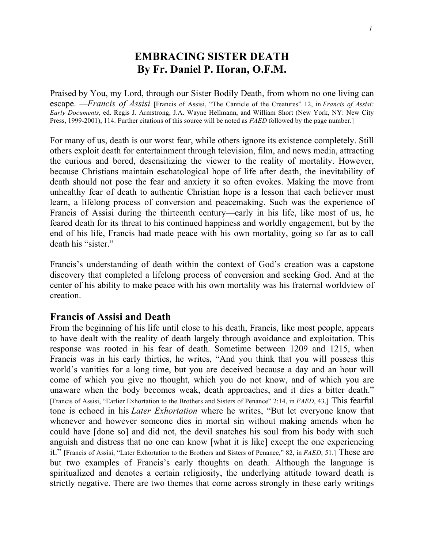## **EMBRACING SISTER DEATH By Fr. Daniel P. Horan, O.F.M.**

Praised by You, my Lord, through our Sister Bodily Death, from whom no one living can escape. *—Francis of Assisi* [Francis of Assisi, "The Canticle of the Creatures" 12, in *Francis of Assisi: Early Documents*, ed. Regis J. Armstrong, J.A. Wayne Hellmann, and William Short (New York, NY: New City Press, 1999-2001), 114. Further citations of this source will be noted as *FAED* followed by the page number.]

For many of us, death is our worst fear, while others ignore its existence completely. Still others exploit death for entertainment through television, film, and news media, attracting the curious and bored, desensitizing the viewer to the reality of mortality. However, because Christians maintain eschatological hope of life after death, the inevitability of death should not pose the fear and anxiety it so often evokes. Making the move from unhealthy fear of death to authentic Christian hope is a lesson that each believer must learn, a lifelong process of conversion and peacemaking. Such was the experience of Francis of Assisi during the thirteenth century—early in his life, like most of us, he feared death for its threat to his continued happiness and worldly engagement, but by the end of his life, Francis had made peace with his own mortality, going so far as to call death his "sister."

Francis's understanding of death within the context of God's creation was a capstone discovery that completed a lifelong process of conversion and seeking God. And at the center of his ability to make peace with his own mortality was his fraternal worldview of creation.

## **Francis of Assisi and Death**

From the beginning of his life until close to his death, Francis, like most people, appears to have dealt with the reality of death largely through avoidance and exploitation. This response was rooted in his fear of death. Sometime between 1209 and 1215, when Francis was in his early thirties, he writes, "And you think that you will possess this world's vanities for a long time, but you are deceived because a day and an hour will come of which you give no thought, which you do not know, and of which you are unaware when the body becomes weak, death approaches, and it dies a bitter death." [Francis of Assisi, "Earlier Exhortation to the Brothers and Sisters of Penance" 2:14, in *FAED*, 43.] This fearful tone is echoed in his *Later Exhortation* where he writes, "But let everyone know that whenever and however someone dies in mortal sin without making amends when he could have [done so] and did not, the devil snatches his soul from his body with such anguish and distress that no one can know [what it is like] except the one experiencing it." [Francis of Assisi, "Later Exhortation to the Brothers and Sisters of Penance," 82, in *FAED*, 51.] These are but two examples of Francis's early thoughts on death. Although the language is spiritualized and denotes a certain religiosity, the underlying attitude toward death is strictly negative. There are two themes that come across strongly in these early writings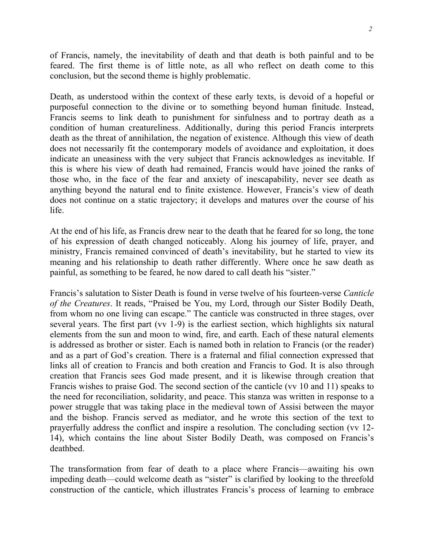of Francis, namely, the inevitability of death and that death is both painful and to be feared. The first theme is of little note, as all who reflect on death come to this conclusion, but the second theme is highly problematic.

Death, as understood within the context of these early texts, is devoid of a hopeful or purposeful connection to the divine or to something beyond human finitude. Instead, Francis seems to link death to punishment for sinfulness and to portray death as a condition of human creatureliness. Additionally, during this period Francis interprets death as the threat of annihilation, the negation of existence. Although this view of death does not necessarily fit the contemporary models of avoidance and exploitation, it does indicate an uneasiness with the very subject that Francis acknowledges as inevitable. If this is where his view of death had remained, Francis would have joined the ranks of those who, in the face of the fear and anxiety of inescapability, never see death as anything beyond the natural end to finite existence. However, Francis's view of death does not continue on a static trajectory; it develops and matures over the course of his life.

At the end of his life, as Francis drew near to the death that he feared for so long, the tone of his expression of death changed noticeably. Along his journey of life, prayer, and ministry, Francis remained convinced of death's inevitability, but he started to view its meaning and his relationship to death rather differently. Where once he saw death as painful, as something to be feared, he now dared to call death his "sister."

Francis's salutation to Sister Death is found in verse twelve of his fourteen-verse *Canticle of the Creatures*. It reads, "Praised be You, my Lord, through our Sister Bodily Death, from whom no one living can escape." The canticle was constructed in three stages, over several years. The first part (vv 1-9) is the earliest section, which highlights six natural elements from the sun and moon to wind, fire, and earth. Each of these natural elements is addressed as brother or sister. Each is named both in relation to Francis (or the reader) and as a part of God's creation. There is a fraternal and filial connection expressed that links all of creation to Francis and both creation and Francis to God. It is also through creation that Francis sees God made present, and it is likewise through creation that Francis wishes to praise God. The second section of the canticle (vv 10 and 11) speaks to the need for reconciliation, solidarity, and peace. This stanza was written in response to a power struggle that was taking place in the medieval town of Assisi between the mayor and the bishop. Francis served as mediator, and he wrote this section of the text to prayerfully address the conflict and inspire a resolution. The concluding section (vv 12- 14), which contains the line about Sister Bodily Death, was composed on Francis's deathbed.

The transformation from fear of death to a place where Francis—awaiting his own impeding death—could welcome death as "sister" is clarified by looking to the threefold construction of the canticle, which illustrates Francis's process of learning to embrace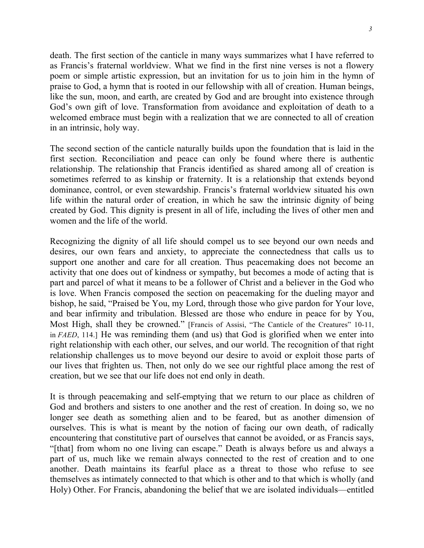death. The first section of the canticle in many ways summarizes what I have referred to as Francis's fraternal worldview. What we find in the first nine verses is not a flowery poem or simple artistic expression, but an invitation for us to join him in the hymn of praise to God, a hymn that is rooted in our fellowship with all of creation. Human beings, like the sun, moon, and earth, are created by God and are brought into existence through God's own gift of love. Transformation from avoidance and exploitation of death to a welcomed embrace must begin with a realization that we are connected to all of creation in an intrinsic, holy way.

The second section of the canticle naturally builds upon the foundation that is laid in the first section. Reconciliation and peace can only be found where there is authentic relationship. The relationship that Francis identified as shared among all of creation is sometimes referred to as kinship or fraternity. It is a relationship that extends beyond dominance, control, or even stewardship. Francis's fraternal worldview situated his own life within the natural order of creation, in which he saw the intrinsic dignity of being created by God. This dignity is present in all of life, including the lives of other men and women and the life of the world.

Recognizing the dignity of all life should compel us to see beyond our own needs and desires, our own fears and anxiety, to appreciate the connectedness that calls us to support one another and care for all creation. Thus peacemaking does not become an activity that one does out of kindness or sympathy, but becomes a mode of acting that is part and parcel of what it means to be a follower of Christ and a believer in the God who is love. When Francis composed the section on peacemaking for the dueling mayor and bishop, he said, "Praised be You, my Lord, through those who give pardon for Your love, and bear infirmity and tribulation. Blessed are those who endure in peace for by You, Most High, shall they be crowned." [Francis of Assisi, "The Canticle of the Creatures" 10-11, in *FAED*, 114.] He was reminding them (and us) that God is glorified when we enter into right relationship with each other, our selves, and our world. The recognition of that right relationship challenges us to move beyond our desire to avoid or exploit those parts of our lives that frighten us. Then, not only do we see our rightful place among the rest of creation, but we see that our life does not end only in death.

It is through peacemaking and self-emptying that we return to our place as children of God and brothers and sisters to one another and the rest of creation. In doing so, we no longer see death as something alien and to be feared, but as another dimension of ourselves. This is what is meant by the notion of facing our own death, of radically encountering that constitutive part of ourselves that cannot be avoided, or as Francis says, "[that] from whom no one living can escape." Death is always before us and always a part of us, much like we remain always connected to the rest of creation and to one another. Death maintains its fearful place as a threat to those who refuse to see themselves as intimately connected to that which is other and to that which is wholly (and Holy) Other. For Francis, abandoning the belief that we are isolated individuals—entitled